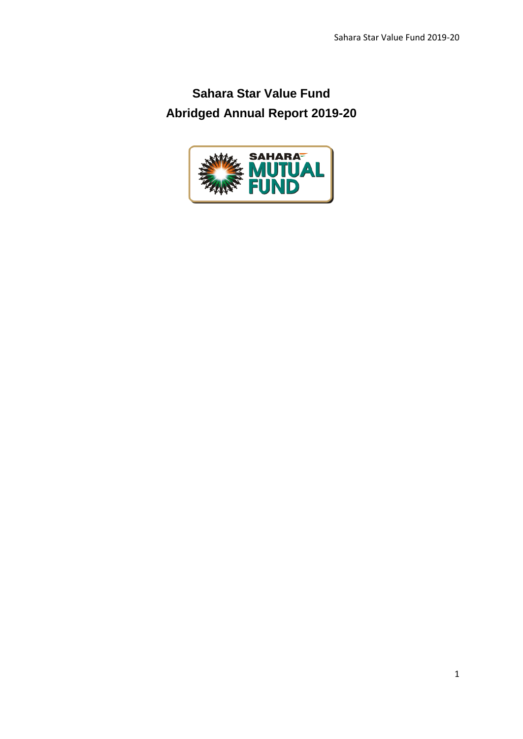**Sahara Star Value Fund Abridged Annual Report 2019-20**

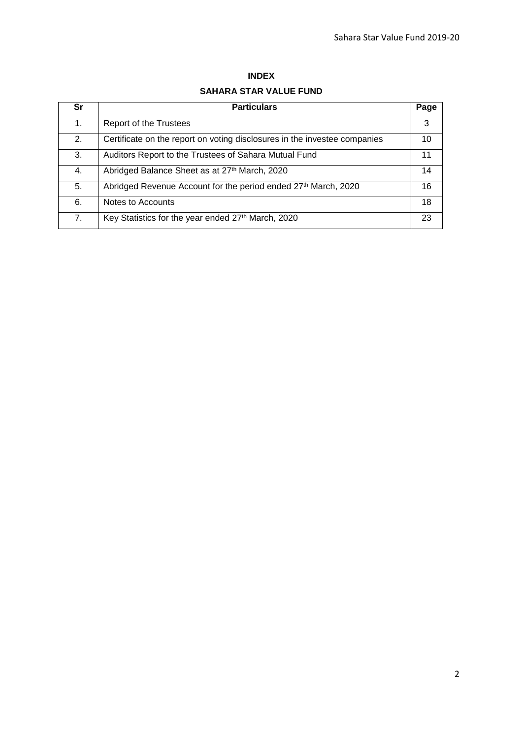| <b>INDEX</b>                  |
|-------------------------------|
| <b>SAHARA STAR VALUE FUND</b> |

| Sr | <b>Particulars</b>                                                        | Page |
|----|---------------------------------------------------------------------------|------|
| 1. | Report of the Trustees                                                    | 3    |
| 2. | Certificate on the report on voting disclosures in the investee companies | 10   |
| 3. | Auditors Report to the Trustees of Sahara Mutual Fund                     | 11   |
| 4. | Abridged Balance Sheet as at 27th March, 2020                             | 14   |
| 5. | Abridged Revenue Account for the period ended 27th March, 2020            | 16   |
| 6. | Notes to Accounts                                                         | 18   |
| 7. | Key Statistics for the year ended 27th March, 2020                        | 23   |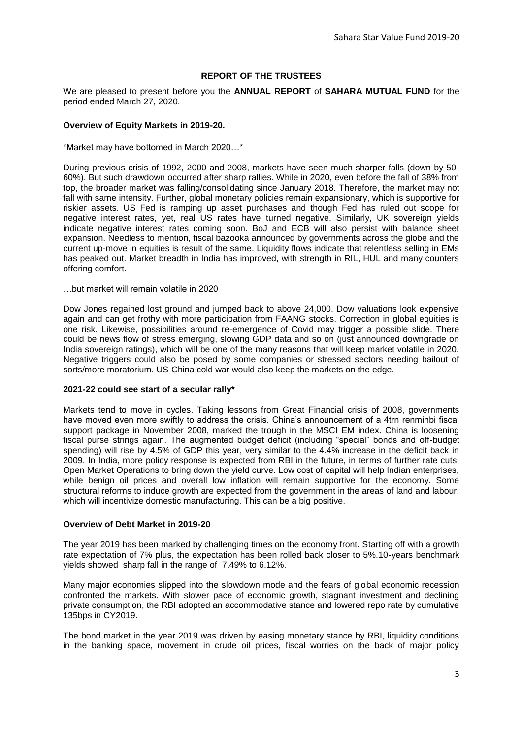## **REPORT OF THE TRUSTEES**

We are pleased to present before you the **ANNUAL REPORT** of **SAHARA MUTUAL FUND** for the period ended March 27, 2020.

## **Overview of Equity Markets in 2019-20.**

\*Market may have bottomed in March 2020…\*

During previous crisis of 1992, 2000 and 2008, markets have seen much sharper falls (down by 50- 60%). But such drawdown occurred after sharp rallies. While in 2020, even before the fall of 38% from top, the broader market was falling/consolidating since January 2018. Therefore, the market may not fall with same intensity. Further, global monetary policies remain expansionary, which is supportive for riskier assets. US Fed is ramping up asset purchases and though Fed has ruled out scope for negative interest rates, yet, real US rates have turned negative. Similarly, UK sovereign yields indicate negative interest rates coming soon. BoJ and ECB will also persist with balance sheet expansion. Needless to mention, fiscal bazooka announced by governments across the globe and the current up-move in equities is result of the same. Liquidity flows indicate that relentless selling in EMs has peaked out. Market breadth in India has improved, with strength in RIL, HUL and many counters offering comfort.

…but market will remain volatile in 2020

Dow Jones regained lost ground and jumped back to above 24,000. Dow valuations look expensive again and can get frothy with more participation from FAANG stocks. Correction in global equities is one risk. Likewise, possibilities around re-emergence of Covid may trigger a possible slide. There could be news flow of stress emerging, slowing GDP data and so on (just announced downgrade on India sovereign ratings), which will be one of the many reasons that will keep market volatile in 2020. Negative triggers could also be posed by some companies or stressed sectors needing bailout of sorts/more moratorium. US-China cold war would also keep the markets on the edge.

## **2021-22 could see start of a secular rally\***

Markets tend to move in cycles. Taking lessons from Great Financial crisis of 2008, governments have moved even more swiftly to address the crisis. China's announcement of a 4trn renminbi fiscal support package in November 2008, marked the trough in the MSCI EM index. China is loosening fiscal purse strings again. The augmented budget deficit (including "special" bonds and off-budget spending) will rise by 4.5% of GDP this year, very similar to the 4.4% increase in the deficit back in 2009. In India, more policy response is expected from RBI in the future, in terms of further rate cuts, Open Market Operations to bring down the yield curve. Low cost of capital will help Indian enterprises, while benign oil prices and overall low inflation will remain supportive for the economy. Some structural reforms to induce growth are expected from the government in the areas of land and labour, which will incentivize domestic manufacturing. This can be a big positive.

### **Overview of Debt Market in 2019-20**

The year 2019 has been marked by challenging times on the economy front. Starting off with a growth rate expectation of 7% plus, the expectation has been rolled back closer to 5%.10-years benchmark yields showed sharp fall in the range of 7.49% to 6.12%.

Many major economies slipped into the slowdown mode and the fears of global economic recession confronted the markets. With slower pace of economic growth, stagnant investment and declining private consumption, the RBI adopted an accommodative stance and lowered repo rate by cumulative 135bps in CY2019.

The bond market in the year 2019 was driven by easing monetary stance by RBI, liquidity conditions in the banking space, movement in crude oil prices, fiscal worries on the back of major policy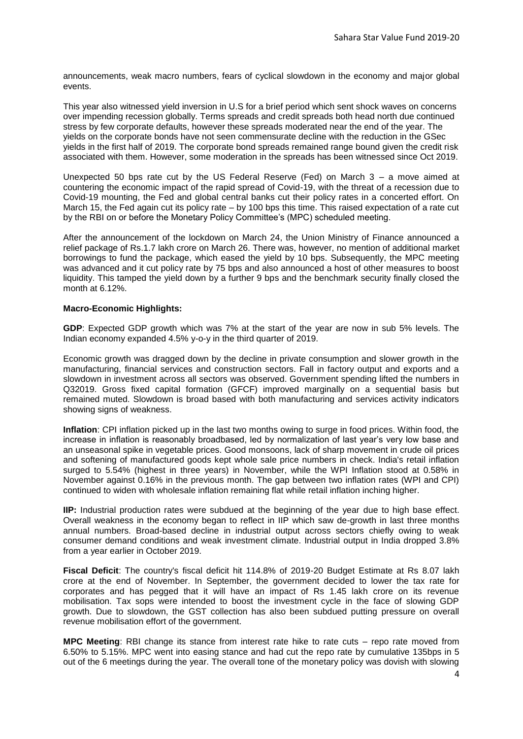announcements, weak macro numbers, fears of cyclical slowdown in the economy and major global events.

This year also witnessed yield inversion in U.S for a brief period which sent shock waves on concerns over impending recession globally. Terms spreads and credit spreads both head north due continued stress by few corporate defaults, however these spreads moderated near the end of the year. The yields on the corporate bonds have not seen commensurate decline with the reduction in the GSec yields in the first half of 2019. The corporate bond spreads remained range bound given the credit risk associated with them. However, some moderation in the spreads has been witnessed since Oct 2019.

Unexpected 50 bps rate cut by the US Federal Reserve (Fed) on March  $3 - a$  move aimed at countering the economic impact of the rapid spread of Covid-19, with the threat of a recession due to Covid-19 mounting, the Fed and global central banks cut their policy rates in a concerted effort. On March 15, the Fed again cut its policy rate – by 100 bps this time. This raised expectation of a rate cut by the RBI on or before the Monetary Policy Committee's (MPC) scheduled meeting.

After the announcement of the lockdown on March 24, the Union Ministry of Finance announced a relief package of Rs.1.7 lakh crore on March 26. There was, however, no mention of additional market borrowings to fund the package, which eased the yield by 10 bps. Subsequently, the MPC meeting was advanced and it cut policy rate by 75 bps and also announced a host of other measures to boost liquidity. This tamped the yield down by a further 9 bps and the benchmark security finally closed the month at 6.12%.

### **Macro-Economic Highlights:**

**GDP**: Expected GDP growth which was 7% at the start of the year are now in sub 5% levels. The Indian economy expanded 4.5% y-o-y in the third quarter of 2019.

Economic growth was dragged down by the decline in private consumption and slower growth in the manufacturing, financial services and construction sectors. Fall in factory output and exports and a slowdown in investment across all sectors was observed. Government spending lifted the numbers in Q32019. Gross fixed capital formation (GFCF) improved marginally on a sequential basis but remained muted. Slowdown is broad based with both manufacturing and services activity indicators showing signs of weakness.

**Inflation**: CPI inflation picked up in the last two months owing to surge in food prices. Within food, the increase in inflation is reasonably broadbased, led by normalization of last year's very low base and an unseasonal spike in vegetable prices. Good monsoons, lack of sharp movement in crude oil prices and softening of manufactured goods kept whole sale price numbers in check. India's retail inflation surged to 5.54% (highest in three years) in November, while the WPI Inflation stood at 0.58% in November against 0.16% in the previous month. The gap between two inflation rates (WPI and CPI) continued to widen with wholesale inflation remaining flat while retail inflation inching higher.

**IIP:** Industrial production rates were subdued at the beginning of the year due to high base effect. Overall weakness in the economy began to reflect in IIP which saw de-growth in last three months annual numbers. Broad-based decline in industrial output across sectors chiefly owing to weak consumer demand conditions and weak investment climate. Industrial output in India dropped 3.8% from a year earlier in October 2019.

**Fiscal Deficit**: The country's fiscal deficit hit 114.8% of 2019-20 Budget Estimate at Rs 8.07 lakh crore at the end of November. In September, the government decided to lower the tax rate for corporates and has pegged that it will have an impact of Rs 1.45 lakh crore on its revenue mobilisation. Tax sops were intended to boost the investment cycle in the face of slowing GDP growth. Due to slowdown, the GST collection has also been subdued putting pressure on overall revenue mobilisation effort of the government.

**MPC Meeting**: RBI change its stance from interest rate hike to rate cuts – repo rate moved from 6.50% to 5.15%. MPC went into easing stance and had cut the repo rate by cumulative 135bps in 5 out of the 6 meetings during the year. The overall tone of the monetary policy was dovish with slowing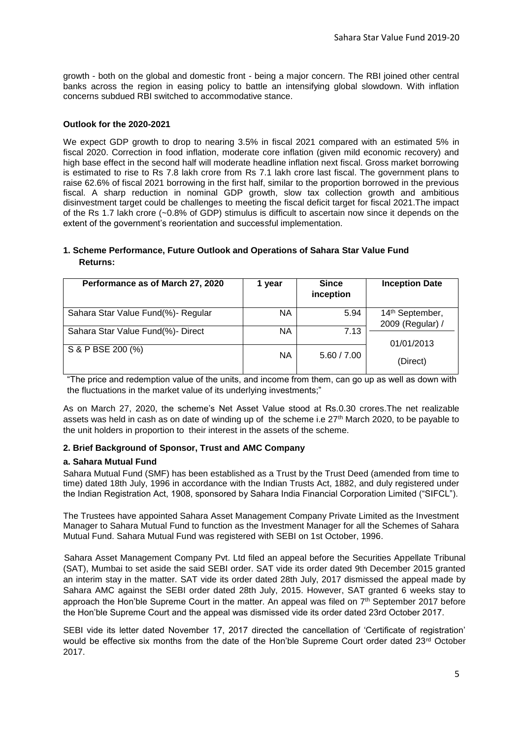growth - both on the global and domestic front - being a major concern. The RBI joined other central banks across the region in easing policy to battle an intensifying global slowdown. With inflation concerns subdued RBI switched to accommodative stance.

### **Outlook for the 2020-2021**

We expect GDP growth to drop to nearing 3.5% in fiscal 2021 compared with an estimated 5% in fiscal 2020. Correction in food inflation, moderate core inflation (given mild economic recovery) and high base effect in the second half will moderate headline inflation next fiscal. Gross market borrowing is estimated to rise to Rs 7.8 lakh crore from Rs 7.1 lakh crore last fiscal. The government plans to raise 62.6% of fiscal 2021 borrowing in the first half, similar to the proportion borrowed in the previous fiscal. A sharp reduction in nominal GDP growth, slow tax collection growth and ambitious disinvestment target could be challenges to meeting the fiscal deficit target for fiscal 2021.The impact of the Rs 1.7 lakh crore (~0.8% of GDP) stimulus is difficult to ascertain now since it depends on the extent of the government's reorientation and successful implementation.

## **1. Scheme Performance, Future Outlook and Operations of Sahara Star Value Fund Returns:**

| Performance as of March 27, 2020   | l year    | <b>Since</b><br>inception | <b>Inception Date</b>                           |
|------------------------------------|-----------|---------------------------|-------------------------------------------------|
| Sahara Star Value Fund(%)- Regular | NА        | 5.94                      | 14 <sup>th</sup> September,<br>2009 (Regular) / |
| Sahara Star Value Fund(%)- Direct  | <b>NA</b> | 7.13                      | 01/01/2013                                      |
| S & P BSE 200 (%)                  | <b>NA</b> | 5.60 / 7.00               | (Direct)                                        |

"The price and redemption value of the units, and income from them, can go up as well as down with the fluctuations in the market value of its underlying investments;"

As on March 27, 2020, the scheme's Net Asset Value stood at Rs.0.30 crores.The net realizable assets was held in cash as on date of winding up of the scheme i.e  $27<sup>th</sup>$  March 2020, to be payable to the unit holders in proportion to their interest in the assets of the scheme.

## **2. Brief Background of Sponsor, Trust and AMC Company**

## **a. Sahara Mutual Fund**

Sahara Mutual Fund (SMF) has been established as a Trust by the Trust Deed (amended from time to time) dated 18th July, 1996 in accordance with the Indian Trusts Act, 1882, and duly registered under the Indian Registration Act, 1908, sponsored by Sahara India Financial Corporation Limited ("SIFCL").

The Trustees have appointed Sahara Asset Management Company Private Limited as the Investment Manager to Sahara Mutual Fund to function as the Investment Manager for all the Schemes of Sahara Mutual Fund. Sahara Mutual Fund was registered with SEBI on 1st October, 1996.

 Sahara Asset Management Company Pvt. Ltd filed an appeal before the Securities Appellate Tribunal (SAT), Mumbai to set aside the said SEBI order. SAT vide its order dated 9th December 2015 granted an interim stay in the matter. SAT vide its order dated 28th July, 2017 dismissed the appeal made by Sahara AMC against the SEBI order dated 28th July, 2015. However, SAT granted 6 weeks stay to approach the Hon'ble Supreme Court in the matter. An appeal was filed on  $7<sup>th</sup>$  September 2017 before the Hon'ble Supreme Court and the appeal was dismissed vide its order dated 23rd October 2017.

SEBI vide its letter dated November 17, 2017 directed the cancellation of 'Certificate of registration' would be effective six months from the date of the Hon'ble Supreme Court order dated 23<sup>rd</sup> October 2017.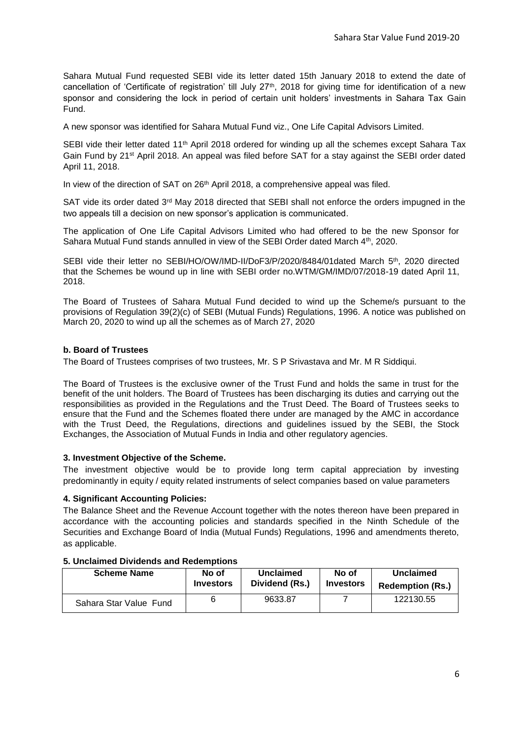Sahara Mutual Fund requested SEBI vide its letter dated 15th January 2018 to extend the date of cancellation of 'Certificate of registration' till July 27<sup>th</sup>, 2018 for giving time for identification of a new sponsor and considering the lock in period of certain unit holders' investments in Sahara Tax Gain Fund.

A new sponsor was identified for Sahara Mutual Fund viz., One Life Capital Advisors Limited.

SEBI vide their letter dated 11<sup>th</sup> April 2018 ordered for winding up all the schemes except Sahara Tax Gain Fund by 21st April 2018. An appeal was filed before SAT for a stay against the SEBI order dated April 11, 2018.

In view of the direction of SAT on  $26<sup>th</sup>$  April 2018, a comprehensive appeal was filed.

SAT vide its order dated  $3<sup>rd</sup>$  May 2018 directed that SEBI shall not enforce the orders impugned in the two appeals till a decision on new sponsor's application is communicated.

The application of One Life Capital Advisors Limited who had offered to be the new Sponsor for Sahara Mutual Fund stands annulled in view of the SEBI Order dated March 4th, 2020.

SEBI vide their letter no SEBI/HO/OW/IMD-II/DoF3/P/2020/8484/01dated March 5<sup>th</sup>, 2020 directed that the Schemes be wound up in line with SEBI order no.WTM/GM/IMD/07/2018-19 dated April 11, 2018.

The Board of Trustees of Sahara Mutual Fund decided to wind up the Scheme/s pursuant to the provisions of Regulation 39(2)(c) of SEBI (Mutual Funds) Regulations, 1996. A notice was published on March 20, 2020 to wind up all the schemes as of March 27, 2020

## **b. Board of Trustees**

The Board of Trustees comprises of two trustees, Mr. S P Srivastava and Mr. M R Siddiqui.

The Board of Trustees is the exclusive owner of the Trust Fund and holds the same in trust for the benefit of the unit holders. The Board of Trustees has been discharging its duties and carrying out the responsibilities as provided in the Regulations and the Trust Deed. The Board of Trustees seeks to ensure that the Fund and the Schemes floated there under are managed by the AMC in accordance with the Trust Deed, the Regulations, directions and guidelines issued by the SEBI, the Stock Exchanges, the Association of Mutual Funds in India and other regulatory agencies.

### **3. Investment Objective of the Scheme.**

The investment objective would be to provide long term capital appreciation by investing predominantly in equity / equity related instruments of select companies based on value parameters

## **4. Significant Accounting Policies:**

The Balance Sheet and the Revenue Account together with the notes thereon have been prepared in accordance with the accounting policies and standards specified in the Ninth Schedule of the Securities and Exchange Board of India (Mutual Funds) Regulations, 1996 and amendments thereto, as applicable.

## **5. Unclaimed Dividends and Redemptions**

| <b>Scheme Name</b>     | No of            | Unclaimed      | No of            | Unclaimed               |
|------------------------|------------------|----------------|------------------|-------------------------|
|                        | <b>Investors</b> | Dividend (Rs.) | <b>Investors</b> | <b>Redemption (Rs.)</b> |
| Sahara Star Value Fund | 6                | 9633.87        |                  | 122130.55               |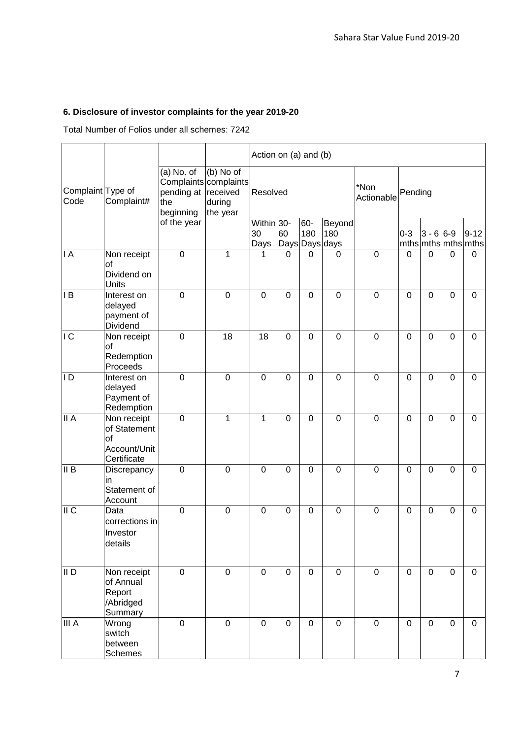# **6. Disclosure of investor complaints for the year 2019-20**

Total Number of Folios under all schemes: 7242

|                           |                                                                  |                                                                         |                                             | Action on (a) and (b)    |                |                              |                    |                |             |                |                |                                 |
|---------------------------|------------------------------------------------------------------|-------------------------------------------------------------------------|---------------------------------------------|--------------------------|----------------|------------------------------|--------------------|----------------|-------------|----------------|----------------|---------------------------------|
| Complaint Type of<br>Code | Complaint#                                                       | $(a)$ No. of<br>Complaints complaints<br>pending at<br>the<br>beginning | (b) No of<br>received<br>during<br>the year | Resolved                 |                |                              | *Non<br>Actionable | Pending        |             |                |                |                                 |
|                           |                                                                  | of the year                                                             |                                             | Within 30-<br>30<br>Days | 60             | 60-<br>180<br>Days Days days | Beyond<br>180      |                | $0 - 3$     | $3 - 6$ 6-9    |                | $9 - 12$<br>mths mths mths mths |
| I A                       | Non receipt<br>οf<br>Dividend on<br>Units                        | $\mathbf 0$                                                             | 1                                           | 1.                       | 0              | 0                            | 0                  | $\mathbf 0$    | 0           | 0              | $\Omega$       | $\mathbf{0}$                    |
| IB                        | Interest on<br>delayed<br>payment of<br>Dividend                 | $\overline{0}$                                                          | $\overline{0}$                              | $\mathbf 0$              | $\overline{0}$ | $\mathbf 0$                  | $\overline{0}$     | $\mathbf 0$    | $\mathbf 0$ | 0              | $\mathbf 0$    | $\mathbf{0}$                    |
| IC                        | Non receipt<br>of<br>Redemption<br>Proceeds                      | $\overline{0}$                                                          | 18                                          | 18                       | $\mathbf 0$    | $\overline{0}$               | $\overline{0}$     | $\overline{0}$ | 0           | $\overline{0}$ | $\overline{0}$ | $\overline{0}$                  |
| ID                        | Interest on<br>delayed<br>Payment of<br>Redemption               | $\mathbf 0$                                                             | $\mathbf 0$                                 | $\mathbf 0$              | $\mathbf 0$    | $\mathbf 0$                  | $\overline{0}$     | $\mathbf 0$    | $\mathbf 0$ | $\overline{0}$ | $\Omega$       | $\mathbf 0$                     |
| II A                      | Non receipt<br>of Statement<br>of<br>Account/Unit<br>Certificate | $\mathbf 0$                                                             | $\mathbf{1}$                                | 1                        | $\mathbf 0$    | $\mathbf 0$                  | $\mathbf 0$        | $\mathbf 0$    | $\mathbf 0$ | $\mathbf 0$    | $\mathbf 0$    | $\mathbf 0$                     |
| II B                      | Discrepancy<br>in<br>Statement of<br>Account                     | $\mathbf 0$                                                             | $\overline{0}$                              | $\mathbf 0$              | $\mathbf 0$    | $\mathbf 0$                  | $\mathbf 0$        | $\overline{0}$ | $\mathbf 0$ | 0              | $\overline{0}$ | $\mathbf 0$                     |
| II C                      | Data<br>corrections in<br>Investor<br>details                    | $\mathbf 0$                                                             | $\mathbf 0$                                 | $\mathbf 0$              | $\mathbf 0$    | $\mathbf 0$                  | $\mathbf 0$        | $\mathbf 0$    | 0           | $\mathbf 0$    | $\mathbf 0$    | $\mathbf 0$                     |
| II D                      | Non receipt<br>of Annual<br>Report<br>/Abridged<br>Summary       | $\mathbf 0$                                                             | $\mathbf 0$                                 | $\mathbf 0$              | $\mathbf 0$    | $\mathbf 0$                  | $\mathbf 0$        | $\mathbf 0$    | $\mathbf 0$ | $\overline{0}$ | $\mathbf 0$    | $\mathbf 0$                     |
| III A                     | Wrong<br>switch<br>between<br>Schemes                            | $\overline{0}$                                                          | $\overline{0}$                              | $\mathbf 0$              | $\mathbf 0$    | $\pmb{0}$                    | $\mathbf 0$        | $\mathbf 0$    | $\mathbf 0$ | $\mathbf 0$    | $\mathbf 0$    | $\mathbf 0$                     |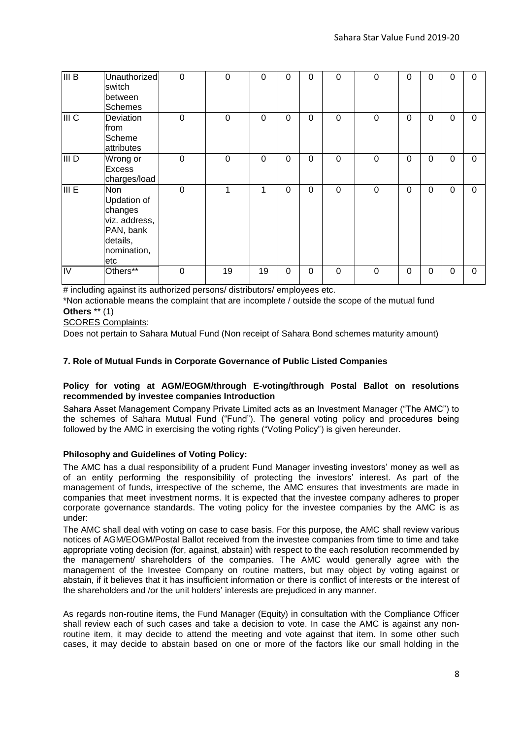| III B                       | Unauthorized<br>switch<br>between<br><b>Schemes</b>                                           | $\mathbf 0$    | $\overline{0}$ | 0           | $\Omega$ | $\Omega$ | $\Omega$       | $\mathbf 0$ | 0        | $\Omega$ | $\Omega$ | 0           |
|-----------------------------|-----------------------------------------------------------------------------------------------|----------------|----------------|-------------|----------|----------|----------------|-------------|----------|----------|----------|-------------|
| $\overline{\mathsf{III C}}$ | Deviation<br>from<br>Scheme<br>attributes                                                     | $\mathbf 0$    | $\overline{0}$ | $\mathbf 0$ | $\Omega$ | $\Omega$ | $\overline{0}$ | $\mathbf 0$ | 0        | $\Omega$ | $\Omega$ | $\mathbf 0$ |
| III D                       | Wrong or<br><b>Excess</b><br>charges/load                                                     | $\overline{0}$ | $\overline{0}$ | $\mathbf 0$ | $\Omega$ | $\Omega$ | $\overline{0}$ | $\mathbf 0$ | 0        | $\Omega$ | $\Omega$ | $\mathbf 0$ |
| III E                       | Non<br>Updation of<br>changes<br>viz. address,<br>PAN, bank<br>details,<br>nomination,<br>etc | $\mathbf 0$    | 1              | 1           | 0        | $\Omega$ | $\mathbf 0$    | $\mathbf 0$ | 0        | 0        | $\Omega$ | 0           |
| IV                          | Others**                                                                                      | $\Omega$       | 19             | 19          | $\Omega$ | $\Omega$ | $\Omega$       | $\mathbf 0$ | $\Omega$ | $\Omega$ | $\Omega$ | $\Omega$    |

# including against its authorized persons/ distributors/ employees etc.

\*Non actionable means the complaint that are incomplete / outside the scope of the mutual fund **Others** \*\* (1)

### SCORES Complaints:

Does not pertain to Sahara Mutual Fund (Non receipt of Sahara Bond schemes maturity amount)

## **7. Role of Mutual Funds in Corporate Governance of Public Listed Companies**

## **Policy for voting at AGM/EOGM/through E-voting/through Postal Ballot on resolutions recommended by investee companies Introduction**

Sahara Asset Management Company Private Limited acts as an Investment Manager ("The AMC") to the schemes of Sahara Mutual Fund ("Fund"). The general voting policy and procedures being followed by the AMC in exercising the voting rights ("Voting Policy") is given hereunder.

## **Philosophy and Guidelines of Voting Policy:**

The AMC has a dual responsibility of a prudent Fund Manager investing investors' money as well as of an entity performing the responsibility of protecting the investors' interest. As part of the management of funds, irrespective of the scheme, the AMC ensures that investments are made in companies that meet investment norms. It is expected that the investee company adheres to proper corporate governance standards. The voting policy for the investee companies by the AMC is as under:

The AMC shall deal with voting on case to case basis. For this purpose, the AMC shall review various notices of AGM/EOGM/Postal Ballot received from the investee companies from time to time and take appropriate voting decision (for, against, abstain) with respect to the each resolution recommended by the management/ shareholders of the companies. The AMC would generally agree with the management of the Investee Company on routine matters, but may object by voting against or abstain, if it believes that it has insufficient information or there is conflict of interests or the interest of the shareholders and /or the unit holders' interests are prejudiced in any manner.

As regards non-routine items, the Fund Manager (Equity) in consultation with the Compliance Officer shall review each of such cases and take a decision to vote. In case the AMC is against any nonroutine item, it may decide to attend the meeting and vote against that item. In some other such cases, it may decide to abstain based on one or more of the factors like our small holding in the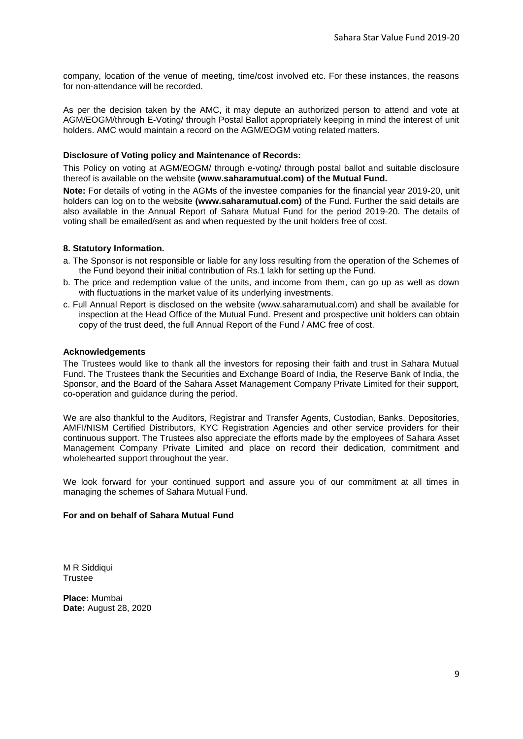company, location of the venue of meeting, time/cost involved etc. For these instances, the reasons for non-attendance will be recorded.

As per the decision taken by the AMC, it may depute an authorized person to attend and vote at AGM/EOGM/through E-Voting/ through Postal Ballot appropriately keeping in mind the interest of unit holders. AMC would maintain a record on the AGM/EOGM voting related matters.

### **Disclosure of Voting policy and Maintenance of Records:**

This Policy on voting at AGM/EOGM/ through e-voting/ through postal ballot and suitable disclosure thereof is available on the website **(www.saharamutual.com) of the Mutual Fund.**

**Note:** For details of voting in the AGMs of the investee companies for the financial year 2019-20, unit holders can log on to the website **(www.saharamutual.com)** of the Fund. Further the said details are also available in the Annual Report of Sahara Mutual Fund for the period 2019-20. The details of voting shall be emailed/sent as and when requested by the unit holders free of cost.

## **8. Statutory Information.**

- a. The Sponsor is not responsible or liable for any loss resulting from the operation of the Schemes of the Fund beyond their initial contribution of Rs.1 lakh for setting up the Fund.
- b. The price and redemption value of the units, and income from them, can go up as well as down with fluctuations in the market value of its underlying investments.
- c. Full Annual Report is disclosed on the website (www.saharamutual.com) and shall be available for inspection at the Head Office of the Mutual Fund. Present and prospective unit holders can obtain copy of the trust deed, the full Annual Report of the Fund / AMC free of cost.

### **Acknowledgements**

The Trustees would like to thank all the investors for reposing their faith and trust in Sahara Mutual Fund. The Trustees thank the Securities and Exchange Board of India, the Reserve Bank of India, the Sponsor, and the Board of the Sahara Asset Management Company Private Limited for their support, co-operation and guidance during the period.

We are also thankful to the Auditors, Registrar and Transfer Agents, Custodian, Banks, Depositories, AMFI/NISM Certified Distributors, KYC Registration Agencies and other service providers for their continuous support. The Trustees also appreciate the efforts made by the employees of Sahara Asset Management Company Private Limited and place on record their dedication, commitment and wholehearted support throughout the year.

We look forward for your continued support and assure you of our commitment at all times in managing the schemes of Sahara Mutual Fund.

## **For and on behalf of Sahara Mutual Fund**

M R Siddiqui **Trustee** 

**Place:** Mumbai **Date:** August 28, 2020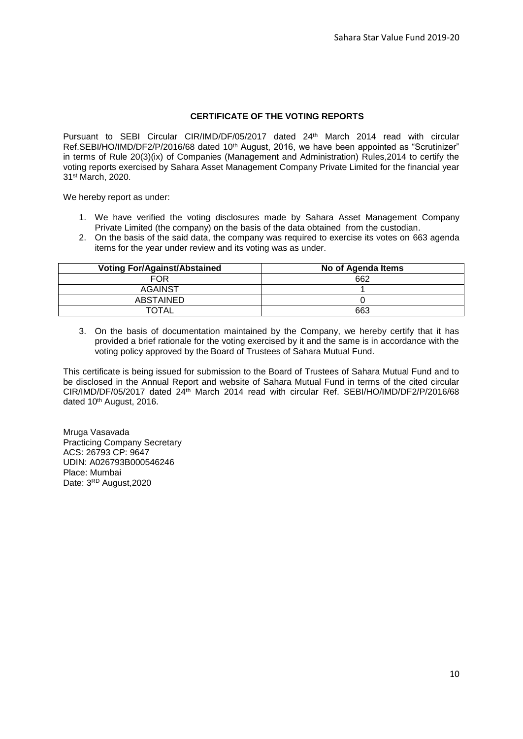## **CERTIFICATE OF THE VOTING REPORTS**

Pursuant to SEBI Circular CIR/IMD/DF/05/2017 dated 24<sup>th</sup> March 2014 read with circular Ref.SEBI/HO/IMD/DF2/P/2016/68 dated 10<sup>th</sup> August, 2016, we have been appointed as "Scrutinizer" in terms of Rule 20(3)(ix) of Companies (Management and Administration) Rules,2014 to certify the voting reports exercised by Sahara Asset Management Company Private Limited for the financial year 31st March, 2020.

We hereby report as under:

- 1. We have verified the voting disclosures made by Sahara Asset Management Company Private Limited (the company) on the basis of the data obtained from the custodian.
- 2. On the basis of the said data, the company was required to exercise its votes on 663 agenda items for the year under review and its voting was as under.

| <b>Voting For/Against/Abstained</b> | No of Agenda Items |
|-------------------------------------|--------------------|
| <b>FOR</b>                          | 662                |
| <b>AGAINST</b>                      |                    |
| <b>ABSTAINED</b>                    |                    |
| TOTAL                               | 663                |

3. On the basis of documentation maintained by the Company, we hereby certify that it has provided a brief rationale for the voting exercised by it and the same is in accordance with the voting policy approved by the Board of Trustees of Sahara Mutual Fund.

This certificate is being issued for submission to the Board of Trustees of Sahara Mutual Fund and to be disclosed in the Annual Report and website of Sahara Mutual Fund in terms of the cited circular CIR/IMD/DF/05/2017 dated 24th March 2014 read with circular Ref. SEBI/HO/IMD/DF2/P/2016/68 dated 10<sup>th</sup> August, 2016.

Mruga Vasavada Practicing Company Secretary ACS: 26793 CP: 9647 UDIN: A026793B000546246 Place: Mumbai Date: 3RD August, 2020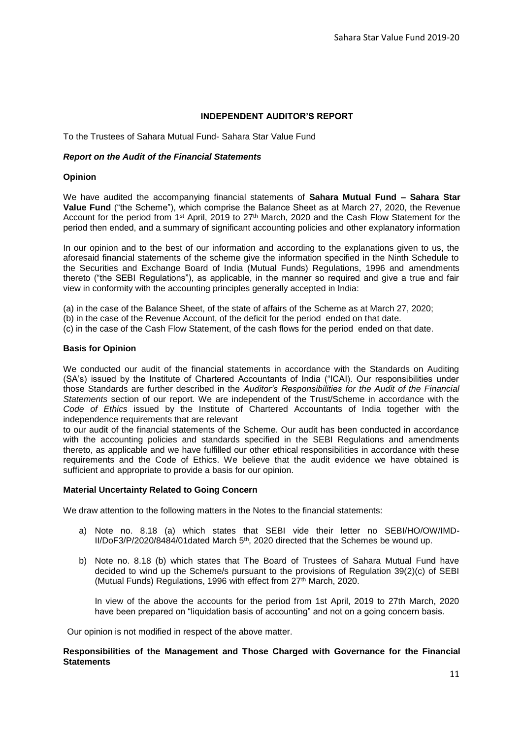## **INDEPENDENT AUDITOR'S REPORT**

To the Trustees of Sahara Mutual Fund- Sahara Star Value Fund

### *Report on the Audit of the Financial Statements*

### **Opinion**

We have audited the accompanying financial statements of **Sahara Mutual Fund – Sahara Star Value Fund** ("the Scheme"), which comprise the Balance Sheet as at March 27, 2020, the Revenue Account for the period from 1<sup>st</sup> April, 2019 to 27<sup>th</sup> March, 2020 and the Cash Flow Statement for the period then ended, and a summary of significant accounting policies and other explanatory information

In our opinion and to the best of our information and according to the explanations given to us, the aforesaid financial statements of the scheme give the information specified in the Ninth Schedule to the Securities and Exchange Board of India (Mutual Funds) Regulations, 1996 and amendments thereto ("the SEBI Regulations"), as applicable, in the manner so required and give a true and fair view in conformity with the accounting principles generally accepted in India:

- (a) in the case of the Balance Sheet, of the state of affairs of the Scheme as at March 27, 2020;
- (b) in the case of the Revenue Account, of the deficit for the period ended on that date.
- (c) in the case of the Cash Flow Statement, of the cash flows for the period ended on that date.

#### **Basis for Opinion**

We conducted our audit of the financial statements in accordance with the Standards on Auditing (SA's) issued by the Institute of Chartered Accountants of India ("ICAI). Our responsibilities under those Standards are further described in the *Auditor's Responsibilities for the Audit of the Financial Statements* section of our report. We are independent of the Trust/Scheme in accordance with the *Code of Ethics* issued by the Institute of Chartered Accountants of India together with the independence requirements that are relevant

to our audit of the financial statements of the Scheme. Our audit has been conducted in accordance with the accounting policies and standards specified in the SEBI Regulations and amendments thereto, as applicable and we have fulfilled our other ethical responsibilities in accordance with these requirements and the Code of Ethics. We believe that the audit evidence we have obtained is sufficient and appropriate to provide a basis for our opinion.

#### **Material Uncertainty Related to Going Concern**

We draw attention to the following matters in the Notes to the financial statements:

- a) Note no. 8.18 (a) which states that SEBI vide their letter no SEBI/HO/OW/IMD-II/DoF3/P/2020/8484/01dated March 5<sup>th</sup>, 2020 directed that the Schemes be wound up.
- b) Note no. 8.18 (b) which states that The Board of Trustees of Sahara Mutual Fund have decided to wind up the Scheme/s pursuant to the provisions of Regulation 39(2)(c) of SEBI (Mutual Funds) Regulations, 1996 with effect from 27<sup>th</sup> March, 2020.

In view of the above the accounts for the period from 1st April, 2019 to 27th March, 2020 have been prepared on "liquidation basis of accounting" and not on a going concern basis.

Our opinion is not modified in respect of the above matter.

### **Responsibilities of the Management and Those Charged with Governance for the Financial Statements**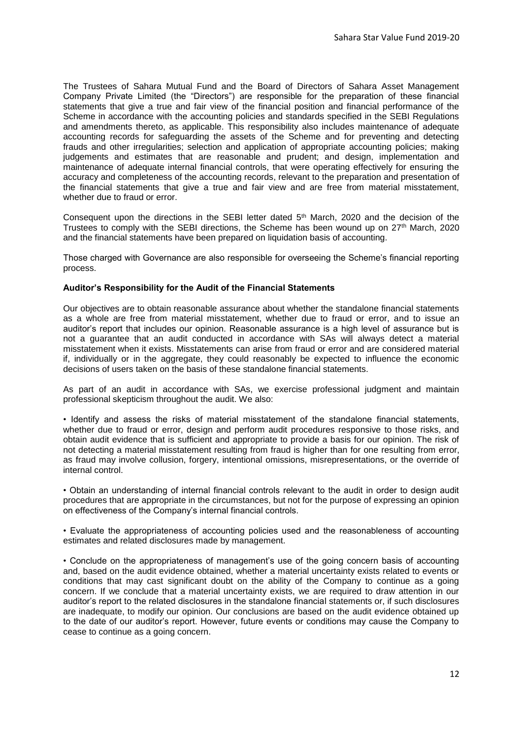The Trustees of Sahara Mutual Fund and the Board of Directors of Sahara Asset Management Company Private Limited (the "Directors") are responsible for the preparation of these financial statements that give a true and fair view of the financial position and financial performance of the Scheme in accordance with the accounting policies and standards specified in the SEBI Regulations and amendments thereto, as applicable. This responsibility also includes maintenance of adequate accounting records for safeguarding the assets of the Scheme and for preventing and detecting frauds and other irregularities; selection and application of appropriate accounting policies; making judgements and estimates that are reasonable and prudent; and design, implementation and maintenance of adequate internal financial controls, that were operating effectively for ensuring the accuracy and completeness of the accounting records, relevant to the preparation and presentation of the financial statements that give a true and fair view and are free from material misstatement, whether due to fraud or error.

Consequent upon the directions in the SEBI letter dated 5<sup>th</sup> March, 2020 and the decision of the Trustees to comply with the SEBI directions, the Scheme has been wound up on  $27<sup>th</sup>$  March, 2020 and the financial statements have been prepared on liquidation basis of accounting.

Those charged with Governance are also responsible for overseeing the Scheme's financial reporting process.

## **Auditor's Responsibility for the Audit of the Financial Statements**

Our objectives are to obtain reasonable assurance about whether the standalone financial statements as a whole are free from material misstatement, whether due to fraud or error, and to issue an auditor's report that includes our opinion. Reasonable assurance is a high level of assurance but is not a guarantee that an audit conducted in accordance with SAs will always detect a material misstatement when it exists. Misstatements can arise from fraud or error and are considered material if, individually or in the aggregate, they could reasonably be expected to influence the economic decisions of users taken on the basis of these standalone financial statements.

As part of an audit in accordance with SAs, we exercise professional judgment and maintain professional skepticism throughout the audit. We also:

• Identify and assess the risks of material misstatement of the standalone financial statements, whether due to fraud or error, design and perform audit procedures responsive to those risks, and obtain audit evidence that is sufficient and appropriate to provide a basis for our opinion. The risk of not detecting a material misstatement resulting from fraud is higher than for one resulting from error, as fraud may involve collusion, forgery, intentional omissions, misrepresentations, or the override of internal control.

• Obtain an understanding of internal financial controls relevant to the audit in order to design audit procedures that are appropriate in the circumstances, but not for the purpose of expressing an opinion on effectiveness of the Company's internal financial controls.

• Evaluate the appropriateness of accounting policies used and the reasonableness of accounting estimates and related disclosures made by management.

• Conclude on the appropriateness of management's use of the going concern basis of accounting and, based on the audit evidence obtained, whether a material uncertainty exists related to events or conditions that may cast significant doubt on the ability of the Company to continue as a going concern. If we conclude that a material uncertainty exists, we are required to draw attention in our auditor's report to the related disclosures in the standalone financial statements or, if such disclosures are inadequate, to modify our opinion. Our conclusions are based on the audit evidence obtained up to the date of our auditor's report. However, future events or conditions may cause the Company to cease to continue as a going concern.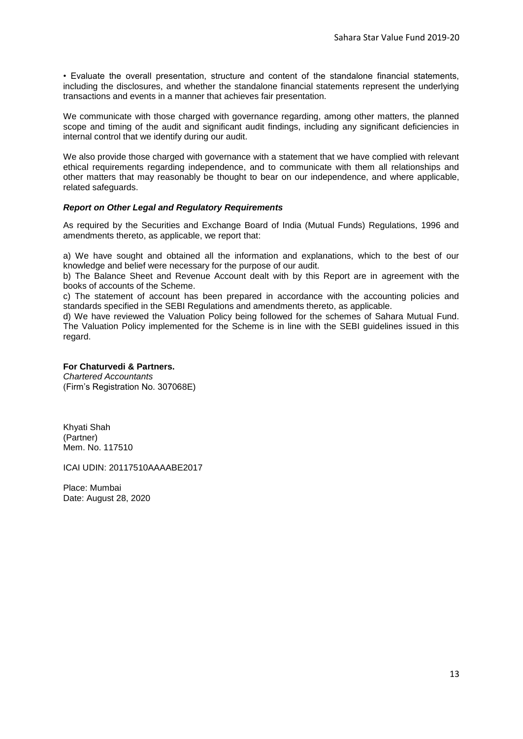• Evaluate the overall presentation, structure and content of the standalone financial statements, including the disclosures, and whether the standalone financial statements represent the underlying transactions and events in a manner that achieves fair presentation.

We communicate with those charged with governance regarding, among other matters, the planned scope and timing of the audit and significant audit findings, including any significant deficiencies in internal control that we identify during our audit.

We also provide those charged with governance with a statement that we have complied with relevant ethical requirements regarding independence, and to communicate with them all relationships and other matters that may reasonably be thought to bear on our independence, and where applicable, related safeguards.

## *Report on Other Legal and Regulatory Requirements*

As required by the Securities and Exchange Board of India (Mutual Funds) Regulations, 1996 and amendments thereto, as applicable, we report that:

a) We have sought and obtained all the information and explanations, which to the best of our knowledge and belief were necessary for the purpose of our audit.

b) The Balance Sheet and Revenue Account dealt with by this Report are in agreement with the books of accounts of the Scheme.

c) The statement of account has been prepared in accordance with the accounting policies and standards specified in the SEBI Regulations and amendments thereto, as applicable.

d) We have reviewed the Valuation Policy being followed for the schemes of Sahara Mutual Fund. The Valuation Policy implemented for the Scheme is in line with the SEBI guidelines issued in this regard.

#### **For Chaturvedi & Partners.** *Chartered Accountants*

(Firm's Registration No. 307068E)

Khyati Shah (Partner) Mem. No. 117510

ICAI UDIN: 20117510AAAABE2017

Place: Mumbai Date: August 28, 2020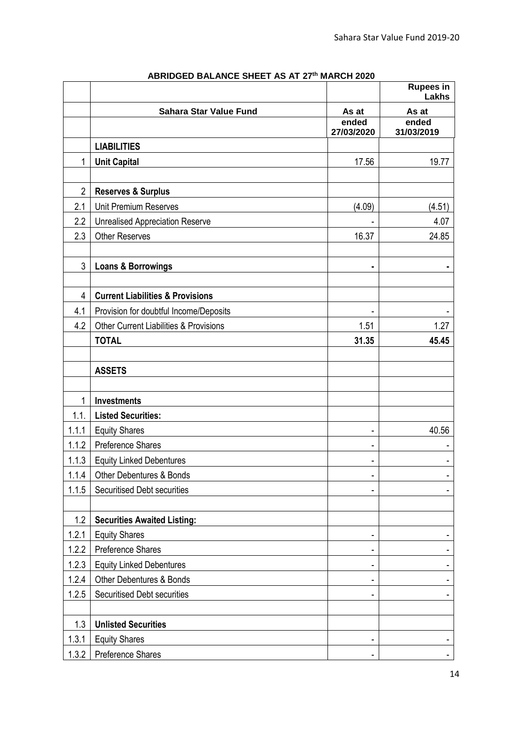|                |                                                   |                     | <b>Rupees in</b><br>Lakhs |  |  |
|----------------|---------------------------------------------------|---------------------|---------------------------|--|--|
|                | <b>Sahara Star Value Fund</b>                     | As at               | As at                     |  |  |
|                |                                                   | ended<br>27/03/2020 | ended<br>31/03/2019       |  |  |
|                | <b>LIABILITIES</b>                                |                     |                           |  |  |
| 1              | <b>Unit Capital</b>                               | 17.56               | 19.77                     |  |  |
|                |                                                   |                     |                           |  |  |
| $\overline{2}$ | <b>Reserves &amp; Surplus</b>                     |                     |                           |  |  |
| 2.1            | <b>Unit Premium Reserves</b>                      | (4.09)              | (4.51)                    |  |  |
| 2.2            | <b>Unrealised Appreciation Reserve</b>            |                     | 4.07                      |  |  |
| 2.3            | <b>Other Reserves</b>                             | 16.37               | 24.85                     |  |  |
|                |                                                   |                     |                           |  |  |
| 3              | Loans & Borrowings                                | ٠                   | ٠                         |  |  |
|                |                                                   |                     |                           |  |  |
| 4              | <b>Current Liabilities &amp; Provisions</b>       |                     |                           |  |  |
| 4.1            | Provision for doubtful Income/Deposits            |                     |                           |  |  |
| 4.2            | <b>Other Current Liabilities &amp; Provisions</b> | 1.51                | 1.27                      |  |  |
|                | <b>TOTAL</b>                                      | 31.35               | 45.45                     |  |  |
|                |                                                   |                     |                           |  |  |
|                | <b>ASSETS</b>                                     |                     |                           |  |  |
|                |                                                   |                     |                           |  |  |
| 1              | <b>Investments</b>                                |                     |                           |  |  |
| 1.1.           | <b>Listed Securities:</b>                         |                     |                           |  |  |
| 1.1.1          | <b>Equity Shares</b>                              |                     | 40.56                     |  |  |
| 1.1.2          | <b>Preference Shares</b>                          | $\blacksquare$      |                           |  |  |
| 1.1.3          | <b>Equity Linked Debentures</b>                   |                     | ۰                         |  |  |
| 1.1.4          | Other Debentures & Bonds                          |                     |                           |  |  |
| 1.1.5          | <b>Securitised Debt securities</b>                |                     | ۰.                        |  |  |
|                |                                                   |                     |                           |  |  |
| 1.2            | <b>Securities Awaited Listing:</b>                |                     |                           |  |  |
| 1.2.1          | <b>Equity Shares</b>                              |                     |                           |  |  |
| 1.2.2          | Preference Shares                                 |                     |                           |  |  |
| 1.2.3          | <b>Equity Linked Debentures</b>                   |                     |                           |  |  |
| 1.2.4          | Other Debentures & Bonds                          |                     |                           |  |  |
| 1.2.5          | <b>Securitised Debt securities</b>                |                     |                           |  |  |
|                |                                                   |                     |                           |  |  |
| 1.3            | <b>Unlisted Securities</b>                        |                     |                           |  |  |
| 1.3.1          | <b>Equity Shares</b>                              |                     |                           |  |  |
| 1.3.2          | Preference Shares                                 |                     |                           |  |  |

## **ABRIDGED BALANCE SHEET AS AT 27th MARCH 2020**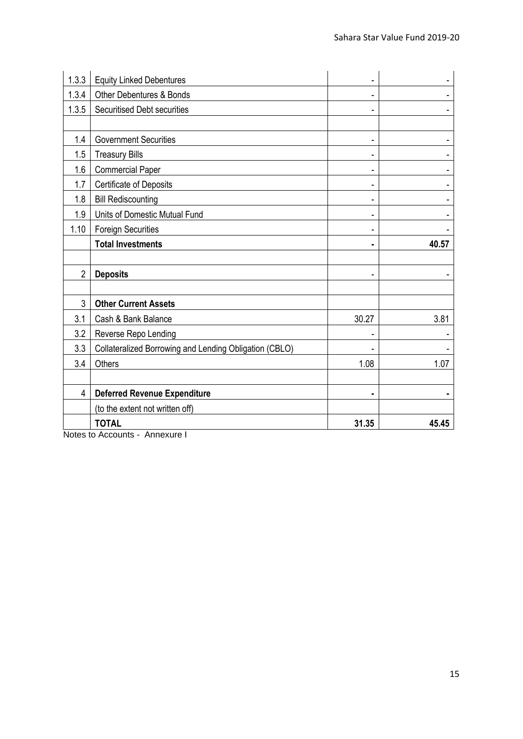| 1.3.3          | <b>Equity Linked Debentures</b>                        |       |                          |
|----------------|--------------------------------------------------------|-------|--------------------------|
| 1.3.4          | <b>Other Debentures &amp; Bonds</b>                    |       |                          |
| 1.3.5          | <b>Securitised Debt securities</b>                     |       |                          |
|                |                                                        |       |                          |
| 1.4            | <b>Government Securities</b>                           |       | $\overline{\phantom{a}}$ |
| 1.5            | <b>Treasury Bills</b>                                  | ۰     |                          |
| 1.6            | <b>Commercial Paper</b>                                |       |                          |
| 1.7            | Certificate of Deposits                                |       |                          |
| 1.8            | <b>Bill Rediscounting</b>                              |       |                          |
| 1.9            | Units of Domestic Mutual Fund                          |       |                          |
| 1.10           | <b>Foreign Securities</b>                              |       |                          |
|                | <b>Total Investments</b>                               |       | 40.57                    |
|                |                                                        |       |                          |
| $\overline{2}$ | <b>Deposits</b>                                        |       |                          |
|                |                                                        |       |                          |
| 3              | <b>Other Current Assets</b>                            |       |                          |
| 3.1            | Cash & Bank Balance                                    | 30.27 | 3.81                     |
| 3.2            | Reverse Repo Lending                                   |       |                          |
| 3.3            | Collateralized Borrowing and Lending Obligation (CBLO) |       |                          |
| 3.4            | <b>Others</b>                                          | 1.08  | 1.07                     |
|                |                                                        |       |                          |
| $\overline{4}$ | <b>Deferred Revenue Expenditure</b>                    |       |                          |
|                | (to the extent not written off)                        |       |                          |
|                | <b>TOTAL</b>                                           | 31.35 | 45.45                    |

Notes to Accounts - Annexure I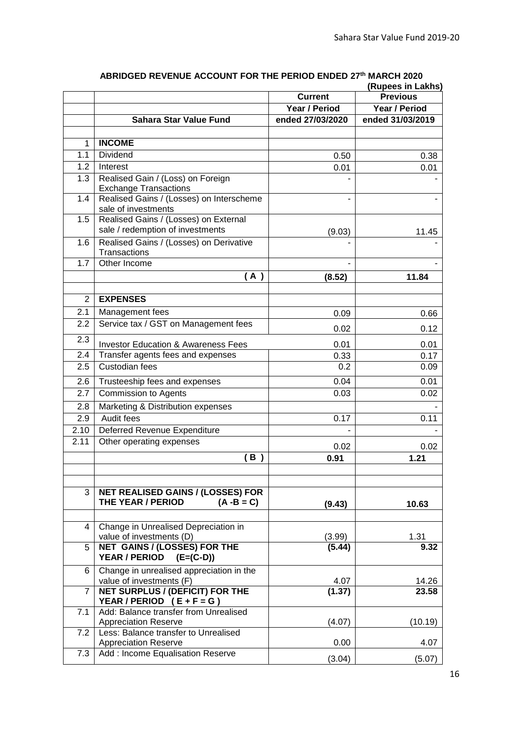|                |                                                                            | <b>Current</b>   | (Rupees in Lakns)<br><b>Previous</b> |
|----------------|----------------------------------------------------------------------------|------------------|--------------------------------------|
|                |                                                                            | Year / Period    | Year / Period                        |
|                | Sahara Star Value Fund                                                     | ended 27/03/2020 | ended 31/03/2019                     |
|                |                                                                            |                  |                                      |
| 1              | <b>INCOME</b>                                                              |                  |                                      |
| 1.1            | Dividend                                                                   | 0.50             | 0.38                                 |
| 1.2            | Interest                                                                   | 0.01             | 0.01                                 |
| 1.3            | Realised Gain / (Loss) on Foreign                                          |                  |                                      |
|                | <b>Exchange Transactions</b><br>Realised Gains / (Losses) on Interscheme   |                  |                                      |
| 1.4            | sale of investments                                                        | $\blacksquare$   |                                      |
| 1.5            | Realised Gains / (Losses) on External<br>sale / redemption of investments  | (9.03)           | 11.45                                |
| 1.6            | Realised Gains / (Losses) on Derivative<br>Transactions                    |                  |                                      |
| 1.7            | Other Income                                                               |                  |                                      |
|                | (A)                                                                        | (8.52)           | 11.84                                |
|                |                                                                            |                  |                                      |
| 2              | <b>EXPENSES</b>                                                            |                  |                                      |
| 2.1            | Management fees                                                            | 0.09             | 0.66                                 |
| 2.2            | Service tax / GST on Management fees                                       | 0.02             | 0.12                                 |
| 2.3            | <b>Investor Education &amp; Awareness Fees</b>                             | 0.01             | 0.01                                 |
| 2.4            | Transfer agents fees and expenses                                          | 0.33             | 0.17                                 |
| 2.5            | Custodian fees                                                             | 0.2              | 0.09                                 |
| 2.6            | Trusteeship fees and expenses                                              | 0.04             | 0.01                                 |
| 2.7            | <b>Commission to Agents</b>                                                | 0.03             | 0.02                                 |
| 2.8            | Marketing & Distribution expenses                                          |                  |                                      |
| 2.9            | Audit fees                                                                 | 0.17             | 0.11                                 |
| 2.10           | Deferred Revenue Expenditure                                               |                  |                                      |
| 2.11           | Other operating expenses                                                   | 0.02             | 0.02                                 |
|                | B)                                                                         | 0.91             | 1.21                                 |
|                |                                                                            |                  |                                      |
|                | <b>NET REALISED GAINS / (LOSSES) FOR</b>                                   |                  |                                      |
| 3              | THE YEAR / PERIOD<br>$(A - B = C)$                                         |                  |                                      |
|                |                                                                            | (9.43)           | 10.63                                |
| $\overline{4}$ | Change in Unrealised Depreciation in                                       |                  |                                      |
|                | value of investments (D)                                                   | (3.99)           | 1.31                                 |
| 5              | <b>NET GAINS / (LOSSES) FOR THE</b><br><b>YEAR / PERIOD</b><br>$(E=(C-D))$ | (5.44)           | 9.32                                 |
| 6              | Change in unrealised appreciation in the<br>value of investments (F)       | 4.07             | 14.26                                |
| $\overline{7}$ | <b>NET SURPLUS / (DEFICIT) FOR THE</b>                                     | (1.37)           | 23.58                                |
| 7.1            | YEAR / PERIOD $(E + F = G)$<br>Add: Balance transfer from Unrealised       |                  |                                      |
|                | <b>Appreciation Reserve</b>                                                | (4.07)           | (10.19)                              |
| 7.2            | Less: Balance transfer to Unrealised<br><b>Appreciation Reserve</b>        | 0.00             | 4.07                                 |
| 7.3            | Add: Income Equalisation Reserve                                           |                  |                                      |
|                |                                                                            | (3.04)           | (5.07)                               |

## **ABRIDGED REVENUE ACCOUNT FOR THE PERIOD ENDED 27th MARCH 2020 (Rupees in Lakhs)**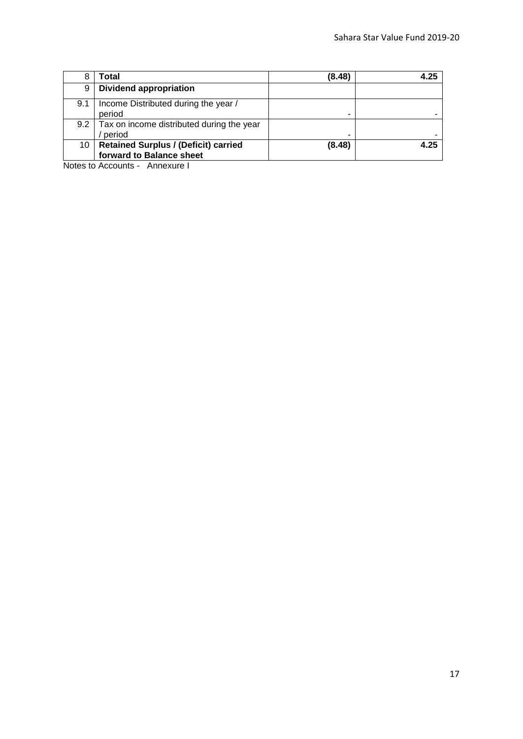| 8   | Total                                                                   | (8.48) | 4.25 |
|-----|-------------------------------------------------------------------------|--------|------|
| 9   | <b>Dividend appropriation</b>                                           |        |      |
| 9.1 | Income Distributed during the year /<br>period                          | -      |      |
| 9.2 | Tax on income distributed during the year<br>period                     | -      |      |
| 10  | <b>Retained Surplus / (Deficit) carried</b><br>forward to Balance sheet | (8.48) | 4.25 |

Notes to Accounts - Annexure I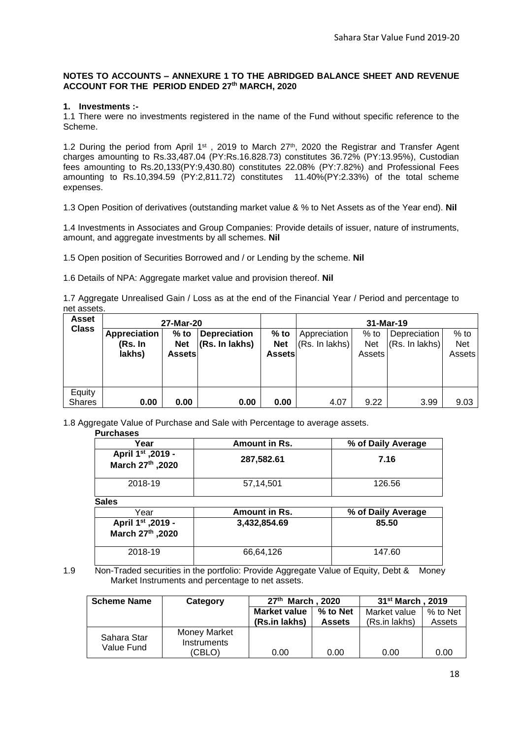## **NOTES TO ACCOUNTS – ANNEXURE 1 TO THE ABRIDGED BALANCE SHEET AND REVENUE ACCOUNT FOR THE PERIOD ENDED 27th MARCH, 2020**

### **1. Investments :-**

1.1 There were no investments registered in the name of the Fund without specific reference to the Scheme.

1.2 During the period from April 1<sup>st</sup>, 2019 to March 27<sup>th</sup>, 2020 the Registrar and Transfer Agent charges amounting to Rs.33,487.04 (PY:Rs.16.828.73) constitutes 36.72% (PY:13.95%), Custodian fees amounting to Rs.20,133(PY:9,430.80) constitutes 22.08% (PY:7.82%) and Professional Fees amounting to Rs.10,394.59 (PY:2,811.72) constitutes 11.40%(PY:2.33%) of the total scheme expenses.

1.3 Open Position of derivatives (outstanding market value & % to Net Assets as of the Year end). **Nil**

1.4 Investments in Associates and Group Companies: Provide details of issuer, nature of instruments, amount, and aggregate investments by all schemes. **Nil**

1.5 Open position of Securities Borrowed and / or Lending by the scheme. **Nil**

1.6 Details of NPA: Aggregate market value and provision thereof. **Nil**

1.7 Aggregate Unrealised Gain / Loss as at the end of the Financial Year / Period and percentage to net assets.

| <b>Asset</b>            | 27-Mar-20    |               |                     |               | 31-Mar-19      |            |                |            |
|-------------------------|--------------|---------------|---------------------|---------------|----------------|------------|----------------|------------|
| <b>Class</b>            | Appreciation | $%$ to        | <b>Depreciation</b> | $%$ to        | Appreciation   | $%$ to     | Depreciation   | $%$ to     |
|                         | (Rs. In      | <b>Net</b>    | (Rs. In lakhs)      | <b>Net</b>    | (Rs. In lakhs) | <b>Net</b> | (Rs. In lakhs) | <b>Net</b> |
|                         | lakhs)       | <b>Assets</b> |                     | <b>Assets</b> |                | Assets     |                | Assets     |
|                         |              |               |                     |               |                |            |                |            |
| Equity<br><b>Shares</b> | 0.00         | 0.00          | 0.00                | 0.00          | 4.07           | 9.22       | 3.99           | 9.03       |

1.8 Aggregate Value of Purchase and Sale with Percentage to average assets.

#### **Purchases**

| Year                                               | <b>Amount in Rs.</b> | % of Daily Average |
|----------------------------------------------------|----------------------|--------------------|
| April 1 <sup>st</sup> , 2019 -<br>March 27th ,2020 | 287,582.61           | 7.16               |
| 2018-19                                            | 57,14,501            | 126.56             |

**Sales**

| .                                                   |                      |                    |
|-----------------------------------------------------|----------------------|--------------------|
| Year                                                | <b>Amount in Rs.</b> | % of Daily Average |
| April 1 <sup>st</sup> , 2019 -<br>March 27th , 2020 | 3,432,854.69         | 85.50              |
| 2018-19                                             | 66.64.126            | 147.60             |

1.9 Non-Traded securities in the portfolio: Provide Aggregate Value of Equity, Debt & Money Market Instruments and percentage to net assets.

| <b>Scheme Name</b>        | Category                                     | 27 <sup>th</sup> March, 2020 |               | 31 <sup>st</sup> March, 2019 |          |  |
|---------------------------|----------------------------------------------|------------------------------|---------------|------------------------------|----------|--|
|                           |                                              | <b>Market value</b>          | $%$ to Net    | Market value                 | % to Net |  |
|                           |                                              | (Rs.in lakhs)                | <b>Assets</b> | (Rs.in lakhs)                | Assets   |  |
| Sahara Star<br>Value Fund | Money Market<br><b>Instruments</b><br>(CBLO) | 0.00                         | 0.00          | 0.00                         | 0.00     |  |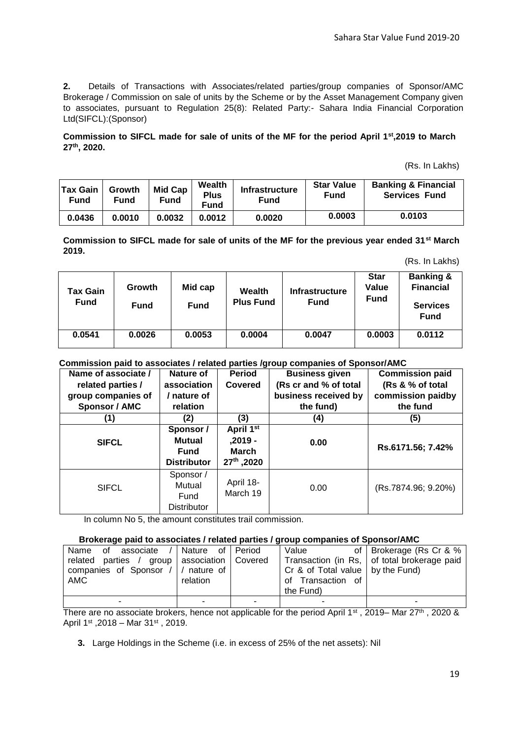**2.** Details of Transactions with Associates/related parties/group companies of Sponsor/AMC Brokerage / Commission on sale of units by the Scheme or by the Asset Management Company given to associates, pursuant to Regulation 25(8): Related Party:- Sahara India Financial Corporation Ltd(SIFCL):(Sponsor)

## **Commission to SIFCL made for sale of units of the MF for the period April 1st,2019 to March 27th, 2020.**

(Rs. In Lakhs)

| Tax Gain<br>Fund | Growth<br>Fund | <b>Mid Cap</b><br>Fund | Wealth<br><b>Plus</b><br>Fund | <b>Infrastructure</b><br>Fund | <b>Star Value</b><br>Fund | <b>Banking &amp; Financial</b><br><b>Services Fund</b> |
|------------------|----------------|------------------------|-------------------------------|-------------------------------|---------------------------|--------------------------------------------------------|
| 0.0436           | 0.0010         | 0.0032                 | 0.0012                        | 0.0020                        | 0.0003                    | 0.0103                                                 |

**Commission to SIFCL made for sale of units of the MF for the previous year ended 31st March 2019.**

(Rs. In Lakhs)

| <b>Tax Gain</b><br><b>Fund</b> | Growth<br><b>Fund</b> | Mid cap<br><b>Fund</b> | Wealth<br><b>Plus Fund</b> | <b>Infrastructure</b><br><b>Fund</b> | <b>Star</b><br>Value<br><b>Fund</b> | <b>Banking &amp;</b><br><b>Financial</b><br><b>Services</b><br><b>Fund</b> |
|--------------------------------|-----------------------|------------------------|----------------------------|--------------------------------------|-------------------------------------|----------------------------------------------------------------------------|
| 0.0541                         | 0.0026                | 0.0053                 | 0.0004                     | 0.0047                               | 0.0003                              | 0.0112                                                                     |

## **Commission paid to associates / related parties /group companies of Sponsor/AMC**

| Name of associate /  | Nature of                                                       | <b>Period</b>                                                    | <b>Business given</b> | <b>Commission paid</b> |
|----------------------|-----------------------------------------------------------------|------------------------------------------------------------------|-----------------------|------------------------|
| related parties /    | association                                                     | Covered                                                          | (Rs cr and % of total | (Rs & % of total       |
| group companies of   | / nature of                                                     |                                                                  | business received by  | commission paidby      |
| <b>Sponsor / AMC</b> | relation                                                        |                                                                  | the fund)             | the fund               |
| (1)                  | (2)                                                             | (3)                                                              | (4)                   | (5)                    |
| <b>SIFCL</b>         | Sponsor /<br><b>Mutual</b><br><b>Fund</b><br><b>Distributor</b> | April 1 <sup>st</sup><br>$,2019 -$<br><b>March</b><br>27th, 2020 | 0.00                  | Rs.6171.56; 7.42%      |
| <b>SIFCL</b>         | Sponsor /<br>Mutual<br>Fund<br><b>Distributor</b>               | April 18-<br>March 19                                            | 0.00                  | (Rs.7874.96; 9.20%)    |

In column No 5, the amount constitutes trail commission.

### **Brokerage paid to associates / related parties / group companies of Sponsor/AMC**

| associate / Nature of Period<br>Name of         |          | Value                                | of   Brokerage (Rs Cr & %                   |
|-------------------------------------------------|----------|--------------------------------------|---------------------------------------------|
| related parties / group   association   Covered |          |                                      | Transaction (in Rs, of total brokerage paid |
| companies of Sponsor /   / nature of            |          | Cr & of Total value $ $ by the Fund) |                                             |
| AMC                                             | relation | of Transaction of                    |                                             |
|                                                 |          | the Fund)                            |                                             |
| -                                               |          |                                      | -                                           |

There are no associate brokers, hence not applicable for the period April 1<sup>st</sup>, 2019– Mar 27<sup>th</sup>, 2020 & April 1st , 2018 – Mar 31st , 2019.

 **3.** Large Holdings in the Scheme (i.e. in excess of 25% of the net assets): Nil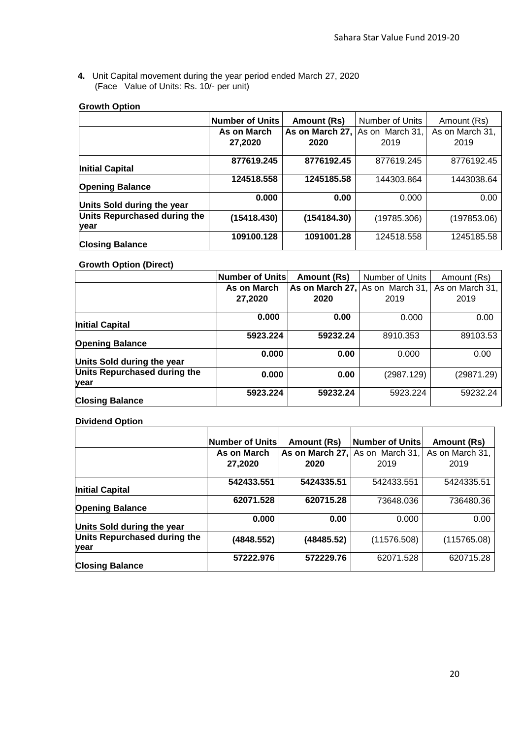**4.** Unit Capital movement during the year period ended March 27, 2020 (Face Value of Units: Rs. 10/- per unit)

## **Growth Option**

|                                      | <b>Number of Units</b> | Amount (Rs) | Number of Units                 | Amount (Rs)     |
|--------------------------------------|------------------------|-------------|---------------------------------|-----------------|
|                                      | As on March            |             | As on March 27, As on March 31, | As on March 31, |
|                                      | 27,2020                | 2020        | 2019                            | 2019            |
| <b>Initial Capital</b>               | 877619.245             | 8776192.45  | 877619.245                      | 8776192.45      |
| <b>Opening Balance</b>               | 124518.558             | 1245185.58  | 144303.864                      | 1443038.64      |
| Units Sold during the year           | 0.000                  | 0.00        | 0.000                           | 0.00            |
| Units Repurchased during the<br>year | (15418.430)            | (154184.30) | (19785.306)                     | (197853.06)     |
| <b>Closing Balance</b>               | 109100.128             | 1091001.28  | 124518.558                      | 1245185.58      |

## **Growth Option (Direct)**

|                                      | Number of Units | Amount (Rs)                     | Number of Units | Amount (Rs)     |
|--------------------------------------|-----------------|---------------------------------|-----------------|-----------------|
|                                      | As on March     | As on March 27, As on March 31, |                 | As on March 31, |
|                                      | 27,2020         | 2020                            | 2019            | 2019            |
| <b>Initial Capital</b>               | 0.000           | 0.00                            | 0.000           | 0.00            |
| <b>Opening Balance</b>               | 5923.224        | 59232.24                        | 8910.353        | 89103.53        |
| Units Sold during the year           | 0.000           | 0.00                            | 0.000           | 0.00            |
| Units Repurchased during the<br>year | 0.000           | 0.00                            | (2987.129)      | (29871.29)      |
| <b>Closing Balance</b>               | 5923.224        | 59232.24                        | 5923.224        | 59232.24        |

# **Dividend Option**

|                                      | <b>Number of Units</b> | Amount (Rs) | Number of Units                            | Amount (Rs)             |
|--------------------------------------|------------------------|-------------|--------------------------------------------|-------------------------|
|                                      | As on March<br>27,2020 | 2020        | As on March 27, $ As$ on March 31,<br>2019 | As on March 31,<br>2019 |
|                                      |                        |             |                                            |                         |
| <b>Initial Capital</b>               | 542433.551             | 5424335.51  | 542433.551                                 | 5424335.51              |
| <b>Opening Balance</b>               | 62071.528              | 620715.28   | 73648.036                                  | 736480.36               |
| Units Sold during the year           | 0.000                  | 0.00        | 0.000                                      | 0.00                    |
| Units Repurchased during the<br>vear | (4848.552)             | (48485.52)  | (11576.508)                                | (115765.08)             |
| <b>Closing Balance</b>               | 57222.976              | 572229.76   | 62071.528                                  | 620715.28               |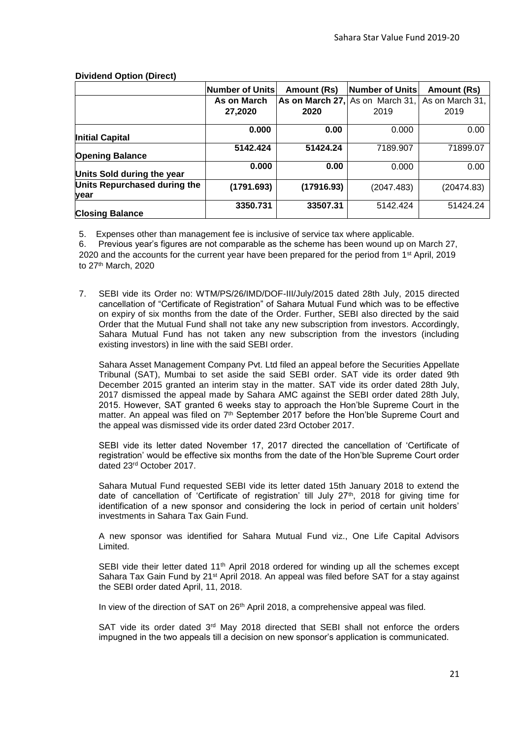|                                      | <b>Number of Units</b> | Amount (Rs) | Number of Units                 | Amount (Rs)     |
|--------------------------------------|------------------------|-------------|---------------------------------|-----------------|
|                                      | As on March            |             | As on March 27, As on March 31, | As on March 31, |
|                                      | 27,2020                | 2020        | 2019                            | 2019            |
| <b>Initial Capital</b>               | 0.000                  | 0.00        | 0.000                           | 0.00            |
| <b>Opening Balance</b>               | 5142.424               | 51424.24    | 7189.907                        | 71899.07        |
| Units Sold during the year           | 0.000                  | 0.00        | 0.000                           | 0.00            |
| Units Repurchased during the<br>vear | (1791.693)             | (17916.93)  | (2047.483)                      | (20474.83)      |
| <b>Closing Balance</b>               | 3350.731               | 33507.31    | 5142.424                        | 51424.24        |

## **Dividend Option (Direct)**

5. Expenses other than management fee is inclusive of service tax where applicable.

6. Previous year's figures are not comparable as the scheme has been wound up on March 27, 2020 and the accounts for the current year have been prepared for the period from 1st April, 2019 to 27th March, 2020

7. SEBI vide its Order no: WTM/PS/26/IMD/DOF-III/July/2015 dated 28th July, 2015 directed cancellation of "Certificate of Registration" of Sahara Mutual Fund which was to be effective on expiry of six months from the date of the Order. Further, SEBI also directed by the said Order that the Mutual Fund shall not take any new subscription from investors. Accordingly, Sahara Mutual Fund has not taken any new subscription from the investors (including existing investors) in line with the said SEBI order.

Sahara Asset Management Company Pvt. Ltd filed an appeal before the Securities Appellate Tribunal (SAT), Mumbai to set aside the said SEBI order. SAT vide its order dated 9th December 2015 granted an interim stay in the matter. SAT vide its order dated 28th July, 2017 dismissed the appeal made by Sahara AMC against the SEBI order dated 28th July, 2015. However, SAT granted 6 weeks stay to approach the Hon'ble Supreme Court in the matter. An appeal was filed on  $7<sup>th</sup>$  September 2017 before the Hon'ble Supreme Court and the appeal was dismissed vide its order dated 23rd October 2017.

SEBI vide its letter dated November 17, 2017 directed the cancellation of 'Certificate of registration' would be effective six months from the date of the Hon'ble Supreme Court order dated 23rd October 2017.

Sahara Mutual Fund requested SEBI vide its letter dated 15th January 2018 to extend the date of cancellation of Certificate of registration' till July  $27<sup>th</sup>$ , 2018 for giving time for identification of a new sponsor and considering the lock in period of certain unit holders' investments in Sahara Tax Gain Fund.

A new sponsor was identified for Sahara Mutual Fund viz., One Life Capital Advisors Limited.

SEBI vide their letter dated  $11<sup>th</sup>$  April 2018 ordered for winding up all the schemes except Sahara Tax Gain Fund by  $21^{st}$  April 2018. An appeal was filed before SAT for a stay against the SEBI order dated April, 11, 2018.

In view of the direction of SAT on 26<sup>th</sup> April 2018, a comprehensive appeal was filed.

SAT vide its order dated 3rd May 2018 directed that SEBI shall not enforce the orders impugned in the two appeals till a decision on new sponsor's application is communicated.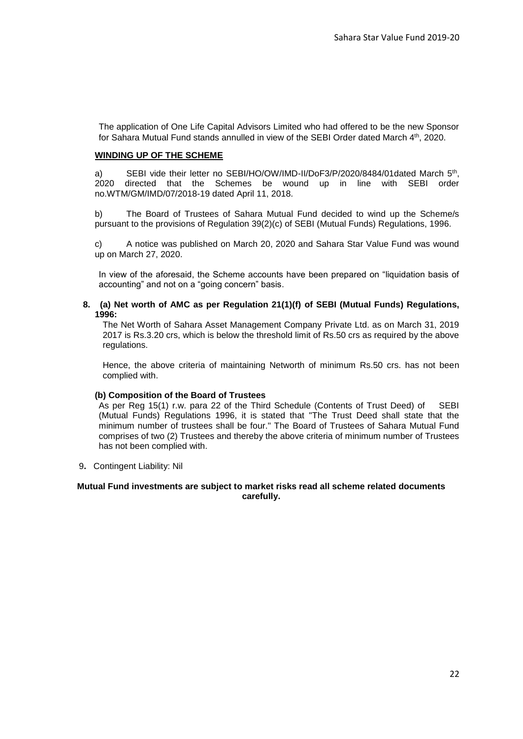The application of One Life Capital Advisors Limited who had offered to be the new Sponsor for Sahara Mutual Fund stands annulled in view of the SEBI Order dated March 4th, 2020.

### **WINDING UP OF THE SCHEME**

a) SEBI vide their letter no SEBI/HO/OW/IMD-II/DoF3/P/2020/8484/01dated March 5<sup>th</sup>, 2020 directed that the Schemes be wound up in line with SEBI order no.WTM/GM/IMD/07/2018-19 dated April 11, 2018.

b) The Board of Trustees of Sahara Mutual Fund decided to wind up the Scheme/s pursuant to the provisions of Regulation 39(2)(c) of SEBI (Mutual Funds) Regulations, 1996.

c) A notice was published on March 20, 2020 and Sahara Star Value Fund was wound up on March 27, 2020.

In view of the aforesaid, the Scheme accounts have been prepared on "liquidation basis of accounting" and not on a "going concern" basis.

### **8. (a) Net worth of AMC as per Regulation 21(1)(f) of SEBI (Mutual Funds) Regulations, 1996:**

The Net Worth of Sahara Asset Management Company Private Ltd. as on March 31, 2019 2017 is Rs.3.20 crs, which is below the threshold limit of Rs.50 crs as required by the above regulations.

Hence, the above criteria of maintaining Networth of minimum Rs.50 crs. has not been complied with.

### **(b) Composition of the Board of Trustees**

As per Reg 15(1) r.w. para 22 of the Third Schedule (Contents of Trust Deed) of SEBI (Mutual Funds) Regulations 1996, it is stated that "The Trust Deed shall state that the minimum number of trustees shall be four." The Board of Trustees of Sahara Mutual Fund comprises of two (2) Trustees and thereby the above criteria of minimum number of Trustees has not been complied with.

9**.** Contingent Liability: Nil

### **Mutual Fund investments are subject to market risks read all scheme related documents carefully.**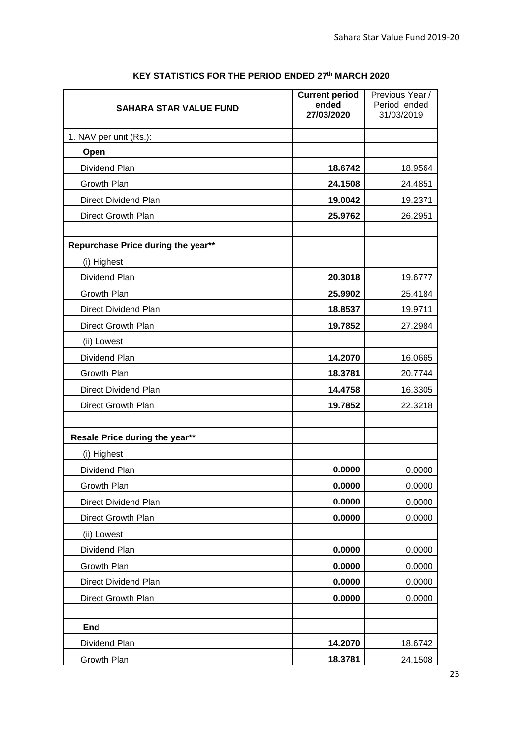| 1. NAV per unit (Rs.):<br>Open<br>Dividend Plan<br>18.6742<br>18.9564<br>24.1508<br>Growth Plan<br>24.4851<br>Direct Dividend Plan<br>19.0042<br>19.2371<br>Direct Growth Plan<br>25.9762<br>26.2951<br>Repurchase Price during the year**<br>(i) Highest<br>Dividend Plan<br>20.3018<br>19.6777<br>Growth Plan<br>25.9902<br>25.4184<br>Direct Dividend Plan<br>18.8537<br>19.9711<br>19.7852<br>Direct Growth Plan<br>27.2984<br>(ii) Lowest<br>Dividend Plan<br>14.2070<br>16.0665<br>18.3781<br>Growth Plan<br>20.7744<br>Direct Dividend Plan<br>14.4758<br>16.3305<br>Direct Growth Plan<br>19.7852<br>22.3218<br>Resale Price during the year**<br>(i) Highest<br>Dividend Plan<br>0.0000<br>0.0000<br>0.0000<br>Growth Plan<br>0.0000<br><b>Direct Dividend Plan</b><br>0.0000<br>0.0000<br>0.0000<br>Direct Growth Plan<br>0.0000<br>(ii) Lowest<br>0.0000<br>Dividend Plan<br>0.0000<br>0.0000<br>Growth Plan<br>0.0000<br>0.0000<br>Direct Dividend Plan<br>0.0000<br>0.0000<br>Direct Growth Plan<br>0.0000<br><b>End</b><br>14.2070<br>Dividend Plan<br>18.6742 | <b>SAHARA STAR VALUE FUND</b> | <b>Current period</b><br>ended<br>27/03/2020 | Previous Year /<br>Period ended<br>31/03/2019 |
|------------------------------------------------------------------------------------------------------------------------------------------------------------------------------------------------------------------------------------------------------------------------------------------------------------------------------------------------------------------------------------------------------------------------------------------------------------------------------------------------------------------------------------------------------------------------------------------------------------------------------------------------------------------------------------------------------------------------------------------------------------------------------------------------------------------------------------------------------------------------------------------------------------------------------------------------------------------------------------------------------------------------------------------------------------------------------|-------------------------------|----------------------------------------------|-----------------------------------------------|
|                                                                                                                                                                                                                                                                                                                                                                                                                                                                                                                                                                                                                                                                                                                                                                                                                                                                                                                                                                                                                                                                              |                               |                                              |                                               |
|                                                                                                                                                                                                                                                                                                                                                                                                                                                                                                                                                                                                                                                                                                                                                                                                                                                                                                                                                                                                                                                                              |                               |                                              |                                               |
|                                                                                                                                                                                                                                                                                                                                                                                                                                                                                                                                                                                                                                                                                                                                                                                                                                                                                                                                                                                                                                                                              |                               |                                              |                                               |
|                                                                                                                                                                                                                                                                                                                                                                                                                                                                                                                                                                                                                                                                                                                                                                                                                                                                                                                                                                                                                                                                              |                               |                                              |                                               |
|                                                                                                                                                                                                                                                                                                                                                                                                                                                                                                                                                                                                                                                                                                                                                                                                                                                                                                                                                                                                                                                                              |                               |                                              |                                               |
|                                                                                                                                                                                                                                                                                                                                                                                                                                                                                                                                                                                                                                                                                                                                                                                                                                                                                                                                                                                                                                                                              |                               |                                              |                                               |
|                                                                                                                                                                                                                                                                                                                                                                                                                                                                                                                                                                                                                                                                                                                                                                                                                                                                                                                                                                                                                                                                              |                               |                                              |                                               |
|                                                                                                                                                                                                                                                                                                                                                                                                                                                                                                                                                                                                                                                                                                                                                                                                                                                                                                                                                                                                                                                                              |                               |                                              |                                               |
|                                                                                                                                                                                                                                                                                                                                                                                                                                                                                                                                                                                                                                                                                                                                                                                                                                                                                                                                                                                                                                                                              |                               |                                              |                                               |
|                                                                                                                                                                                                                                                                                                                                                                                                                                                                                                                                                                                                                                                                                                                                                                                                                                                                                                                                                                                                                                                                              |                               |                                              |                                               |
|                                                                                                                                                                                                                                                                                                                                                                                                                                                                                                                                                                                                                                                                                                                                                                                                                                                                                                                                                                                                                                                                              |                               |                                              |                                               |
|                                                                                                                                                                                                                                                                                                                                                                                                                                                                                                                                                                                                                                                                                                                                                                                                                                                                                                                                                                                                                                                                              |                               |                                              |                                               |
|                                                                                                                                                                                                                                                                                                                                                                                                                                                                                                                                                                                                                                                                                                                                                                                                                                                                                                                                                                                                                                                                              |                               |                                              |                                               |
|                                                                                                                                                                                                                                                                                                                                                                                                                                                                                                                                                                                                                                                                                                                                                                                                                                                                                                                                                                                                                                                                              |                               |                                              |                                               |
|                                                                                                                                                                                                                                                                                                                                                                                                                                                                                                                                                                                                                                                                                                                                                                                                                                                                                                                                                                                                                                                                              |                               |                                              |                                               |
|                                                                                                                                                                                                                                                                                                                                                                                                                                                                                                                                                                                                                                                                                                                                                                                                                                                                                                                                                                                                                                                                              |                               |                                              |                                               |
|                                                                                                                                                                                                                                                                                                                                                                                                                                                                                                                                                                                                                                                                                                                                                                                                                                                                                                                                                                                                                                                                              |                               |                                              |                                               |
|                                                                                                                                                                                                                                                                                                                                                                                                                                                                                                                                                                                                                                                                                                                                                                                                                                                                                                                                                                                                                                                                              |                               |                                              |                                               |
|                                                                                                                                                                                                                                                                                                                                                                                                                                                                                                                                                                                                                                                                                                                                                                                                                                                                                                                                                                                                                                                                              |                               |                                              |                                               |
|                                                                                                                                                                                                                                                                                                                                                                                                                                                                                                                                                                                                                                                                                                                                                                                                                                                                                                                                                                                                                                                                              |                               |                                              |                                               |
|                                                                                                                                                                                                                                                                                                                                                                                                                                                                                                                                                                                                                                                                                                                                                                                                                                                                                                                                                                                                                                                                              |                               |                                              |                                               |
|                                                                                                                                                                                                                                                                                                                                                                                                                                                                                                                                                                                                                                                                                                                                                                                                                                                                                                                                                                                                                                                                              |                               |                                              |                                               |
|                                                                                                                                                                                                                                                                                                                                                                                                                                                                                                                                                                                                                                                                                                                                                                                                                                                                                                                                                                                                                                                                              |                               |                                              |                                               |
|                                                                                                                                                                                                                                                                                                                                                                                                                                                                                                                                                                                                                                                                                                                                                                                                                                                                                                                                                                                                                                                                              |                               |                                              |                                               |
|                                                                                                                                                                                                                                                                                                                                                                                                                                                                                                                                                                                                                                                                                                                                                                                                                                                                                                                                                                                                                                                                              |                               |                                              |                                               |
|                                                                                                                                                                                                                                                                                                                                                                                                                                                                                                                                                                                                                                                                                                                                                                                                                                                                                                                                                                                                                                                                              |                               |                                              |                                               |
|                                                                                                                                                                                                                                                                                                                                                                                                                                                                                                                                                                                                                                                                                                                                                                                                                                                                                                                                                                                                                                                                              |                               |                                              |                                               |
|                                                                                                                                                                                                                                                                                                                                                                                                                                                                                                                                                                                                                                                                                                                                                                                                                                                                                                                                                                                                                                                                              |                               |                                              |                                               |
|                                                                                                                                                                                                                                                                                                                                                                                                                                                                                                                                                                                                                                                                                                                                                                                                                                                                                                                                                                                                                                                                              |                               |                                              |                                               |
|                                                                                                                                                                                                                                                                                                                                                                                                                                                                                                                                                                                                                                                                                                                                                                                                                                                                                                                                                                                                                                                                              |                               |                                              |                                               |
|                                                                                                                                                                                                                                                                                                                                                                                                                                                                                                                                                                                                                                                                                                                                                                                                                                                                                                                                                                                                                                                                              |                               |                                              |                                               |
|                                                                                                                                                                                                                                                                                                                                                                                                                                                                                                                                                                                                                                                                                                                                                                                                                                                                                                                                                                                                                                                                              | Growth Plan                   | 18.3781                                      | 24.1508                                       |

# **KEY STATISTICS FOR THE PERIOD ENDED 27th MARCH 2020**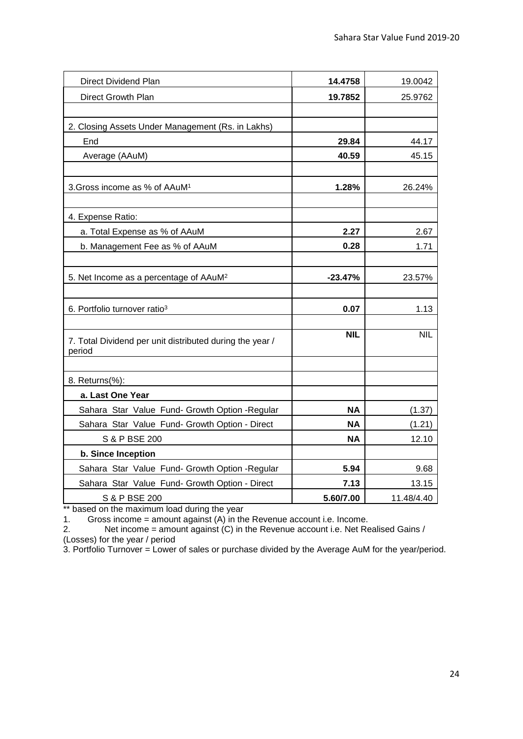| <b>Direct Dividend Plan</b>                              | 14.4758    | 19.0042                 |
|----------------------------------------------------------|------------|-------------------------|
| Direct Growth Plan                                       | 19.7852    | 25.9762                 |
|                                                          |            |                         |
| 2. Closing Assets Under Management (Rs. in Lakhs)        |            |                         |
| End                                                      | 29.84      | 44.17                   |
| Average (AAuM)                                           | 40.59      | 45.15                   |
|                                                          |            |                         |
| 3. Gross income as % of AAuM <sup>1</sup>                | 1.28%      | 26.24%                  |
|                                                          |            |                         |
| 4. Expense Ratio:                                        |            |                         |
| a. Total Expense as % of AAuM                            | 2.27       | 2.67                    |
| b. Management Fee as % of AAuM                           | 0.28       | 1.71                    |
|                                                          |            |                         |
| 5. Net Income as a percentage of AAuM <sup>2</sup>       | $-23.47%$  | 23.57%                  |
|                                                          |            |                         |
| 6. Portfolio turnover ratio <sup>3</sup>                 | 0.07       | 1.13                    |
|                                                          |            |                         |
| 7. Total Dividend per unit distributed during the year / | <b>NIL</b> | $\overline{\text{NIL}}$ |
| period                                                   |            |                         |
|                                                          |            |                         |
| 8. Returns(%):                                           |            |                         |
| a. Last One Year                                         |            |                         |
| Sahara Star Value Fund- Growth Option - Regular          | <b>NA</b>  | (1.37)                  |
| Sahara Star Value Fund- Growth Option - Direct           | <b>NA</b>  | (1.21)                  |
| S & P BSE 200                                            | NΑ         | 12.10                   |
| b. Since Inception                                       |            |                         |
| Sahara Star Value Fund- Growth Option - Regular          | 5.94       | 9.68                    |
| Sahara Star Value Fund- Growth Option - Direct           | 7.13       | 13.15                   |
| S & P BSE 200                                            | 5.60/7.00  | 11.48/4.40              |

\*\* based on the maximum load during the year

1. Gross income = amount against (A) in the Revenue account i.e. Income.

2. Net income = amount against (C) in the Revenue account i.e. Net Realised Gains /

(Losses) for the year / period

3. Portfolio Turnover = Lower of sales or purchase divided by the Average AuM for the year/period.